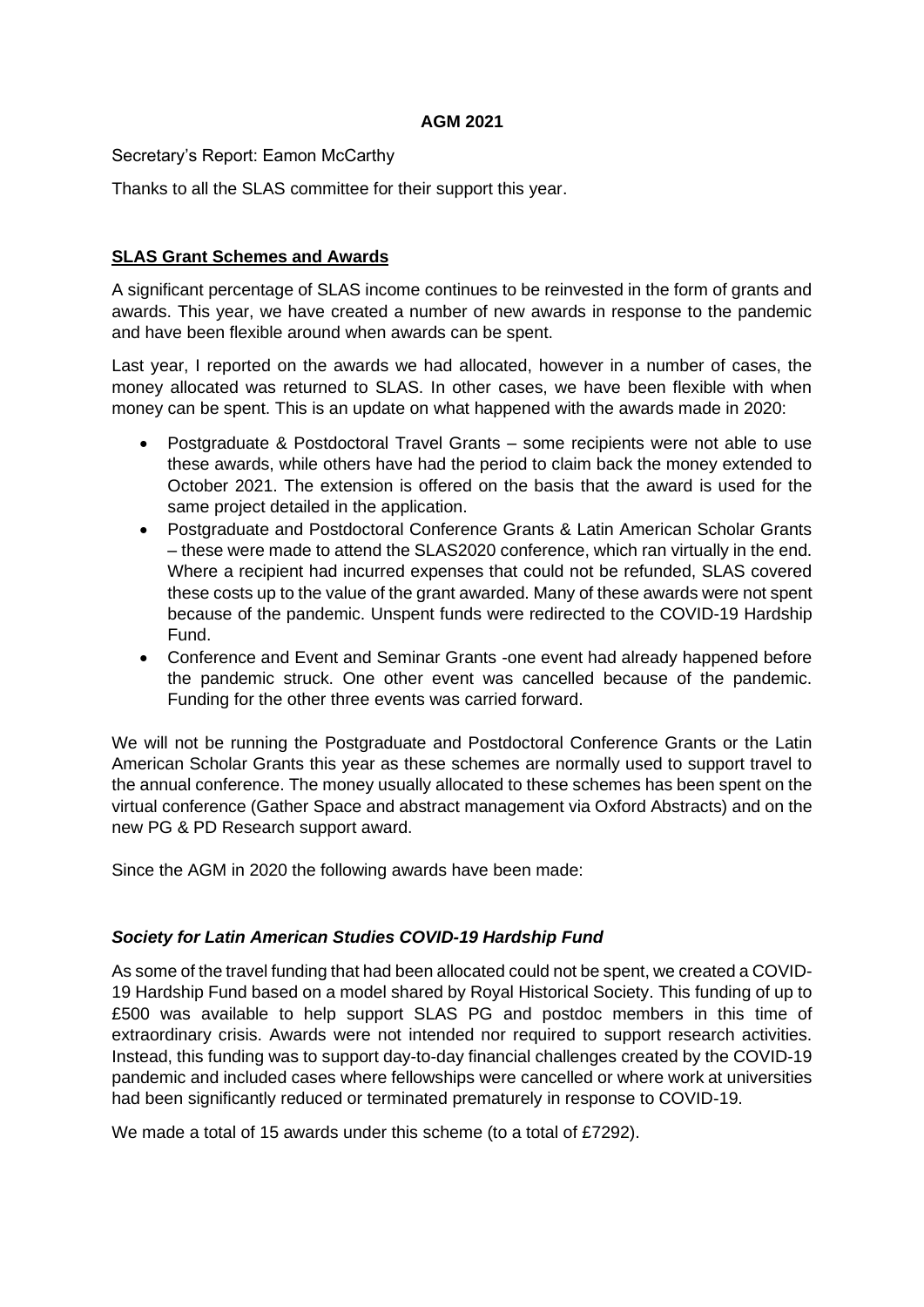#### **AGM 2021**

Secretary's Report: Eamon McCarthy

Thanks to all the SLAS committee for their support this year.

# **SLAS Grant Schemes and Awards**

A significant percentage of SLAS income continues to be reinvested in the form of grants and awards. This year, we have created a number of new awards in response to the pandemic and have been flexible around when awards can be spent.

Last year, I reported on the awards we had allocated, however in a number of cases, the money allocated was returned to SLAS. In other cases, we have been flexible with when money can be spent. This is an update on what happened with the awards made in 2020:

- Postgraduate & Postdoctoral Travel Grants some recipients were not able to use these awards, while others have had the period to claim back the money extended to October 2021. The extension is offered on the basis that the award is used for the same project detailed in the application.
- Postgraduate and Postdoctoral Conference Grants & Latin American Scholar Grants – these were made to attend the SLAS2020 conference, which ran virtually in the end. Where a recipient had incurred expenses that could not be refunded, SLAS covered these costs up to the value of the grant awarded. Many of these awards were not spent because of the pandemic. Unspent funds were redirected to the COVID-19 Hardship Fund.
- Conference and Event and Seminar Grants -one event had already happened before the pandemic struck. One other event was cancelled because of the pandemic. Funding for the other three events was carried forward.

We will not be running the Postgraduate and Postdoctoral Conference Grants or the Latin American Scholar Grants this year as these schemes are normally used to support travel to the annual conference. The money usually allocated to these schemes has been spent on the virtual conference (Gather Space and abstract management via Oxford Abstracts) and on the new PG & PD Research support award.

Since the AGM in 2020 the following awards have been made:

### *Society for Latin American Studies COVID-19 Hardship Fund*

As some of the travel funding that had been allocated could not be spent, we created a COVID-19 Hardship Fund based on a model shared by Royal Historical Society. This funding of up to £500 was available to help support SLAS PG and postdoc members in this time of extraordinary crisis. Awards were not intended nor required to support research activities. Instead, this funding was to support day-to-day financial challenges created by the COVID-19 pandemic and included cases where fellowships were cancelled or where work at universities had been significantly reduced or terminated prematurely in response to COVID-19.

We made a total of 15 awards under this scheme (to a total of £7292).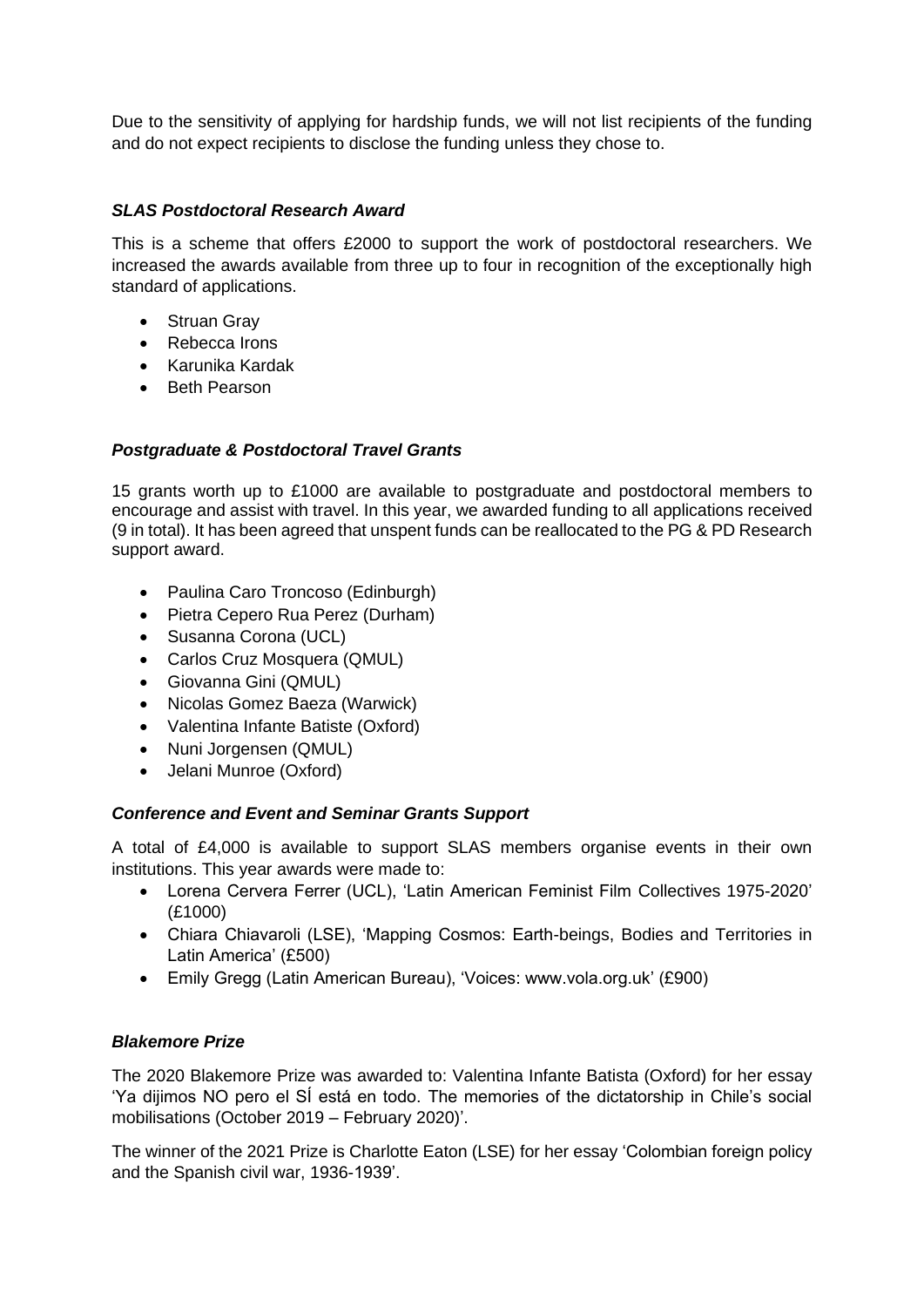Due to the sensitivity of applying for hardship funds, we will not list recipients of the funding and do not expect recipients to disclose the funding unless they chose to.

### *SLAS Postdoctoral Research Award*

This is a scheme that offers £2000 to support the work of postdoctoral researchers. We increased the awards available from three up to four in recognition of the exceptionally high standard of applications.

- Struan Gray
- Rebecca Irons
- Karunika Kardak
- Beth Pearson

# *Postgraduate & Postdoctoral Travel Grants*

15 grants worth up to £1000 are available to postgraduate and postdoctoral members to encourage and assist with travel. In this year, we awarded funding to all applications received (9 in total). It has been agreed that unspent funds can be reallocated to the PG & PD Research support award.

- Paulina Caro Troncoso (Edinburgh)
- Pietra Cepero Rua Perez (Durham)
- Susanna Corona (UCL)
- Carlos Cruz Mosquera (QMUL)
- Giovanna Gini (QMUL)
- Nicolas Gomez Baeza (Warwick)
- Valentina Infante Batiste (Oxford)
- Nuni Jorgensen (QMUL)
- Jelani Munroe (Oxford)

### *Conference and Event and Seminar Grants Support*

A total of £4,000 is available to support SLAS members organise events in their own institutions. This year awards were made to:

- Lorena Cervera Ferrer (UCL), 'Latin American Feminist Film Collectives 1975-2020' (£1000)
- Chiara Chiavaroli (LSE), 'Mapping Cosmos: Earth-beings, Bodies and Territories in Latin America' (£500)
- Emily Gregg (Latin American Bureau), 'Voices: www.vola.org.uk' (£900)

### *Blakemore Prize*

The 2020 Blakemore Prize was awarded to: Valentina Infante Batista (Oxford) for her essay 'Ya dijimos NO pero el SÍ está en todo. The memories of the dictatorship in Chile's social mobilisations (October 2019 – February 2020)'.

The winner of the 2021 Prize is Charlotte Eaton (LSE) for her essay 'Colombian foreign policy and the Spanish civil war, 1936-1939'.